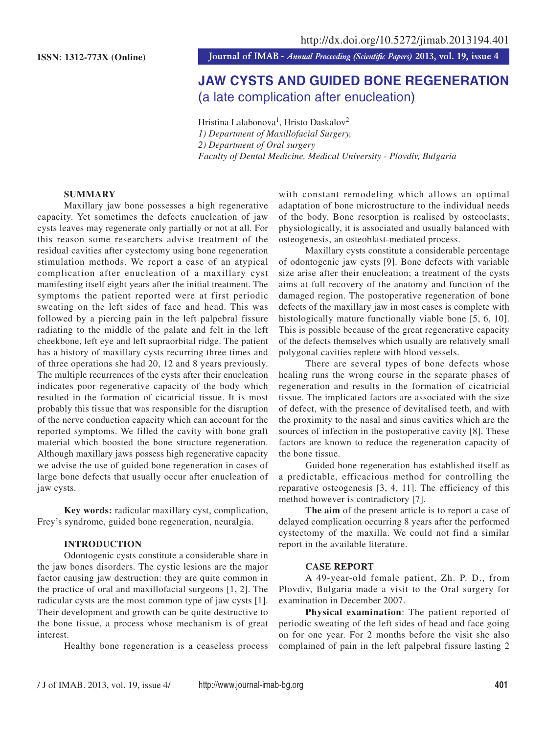**ISSN: 1312-773X (Online) Journal of IMAB** *- Annual Proceeding (Scientific Papers)* **2013, vol. 19, issue 4**

# JAW CYSTS AND GUIDED BONE REGENERATION (a late complication after enucleation)

Hristina Lalabonova<sup>1</sup>, Hristo Daskalov<sup>2</sup> *1) Department of Maxillofacial Surgery, 2) Department of Oral surgery Faculty of Dental Medicine, Medical University - Plovdiv, Bulgaria*

# **SUMMARY**

Maxillary jaw bone possesses a high regenerative capacity. Yet sometimes the defects enucleation of jaw cysts leaves may regenerate only partially or not at all. For this reason some researchers advise treatment of the residual cavities after cystectomy using bone regeneration stimulation methods. We report a case of an atypical complication after enucleation of a maxillary cyst manifesting itself eight years after the initial treatment. The symptoms the patient reported were at first periodic sweating on the left sides of face and head. This was followed by a piercing pain in the left palpebral fissure radiating to the middle of the palate and felt in the left cheekbone, left eye and left supraorbital ridge. The patient has a history of maxillary cysts recurring three times and of three operations she had 20, 12 and 8 years previously. The multiple recurrences of the cysts after their enucleation indicates poor regenerative capacity of the body which resulted in the formation of cicatricial tissue. It is most probably this tissue that was responsible for the disruption of the nerve conduction capacity which can account for the reported symptoms. We filled the cavity with bone graft material which boosted the bone structure regeneration. Although maxillary jaws possess high regenerative capacity we advise the use of guided bone regeneration in cases of large bone defects that usually occur after enucleation of jaw cysts.

**Key words:** radicular maxillary cyst, complication, Frey's syndrome, guided bone regeneration, neuralgia.

#### **INTRODUCTION**

Odontogenic cysts constitute a considerable share in the jaw bones disorders. The cystic lesions are the major factor causing jaw destruction: they are quite common in the practice of oral and maxillofacial surgeons [1, 2]. The radicular cysts are the most common type of jaw cysts [1]. Their development and growth can be quite destructive to the bone tissue, a process whose mechanism is of great interest.

Healthy bone regeneration is a ceaseless process

with constant remodeling which allows an optimal adaptation of bone microstructure to the individual needs of the body. Bone resorption is realised by osteoclasts; physiologically, it is associated and usually balanced with osteogenesis, an osteoblast-mediated process.

Maxillary cysts constitute a considerable percentage of odontogenic jaw cysts [9]. Bone defects with variable size arise after their enucleation; a treatment of the cysts aims at full recovery of the anatomy and function of the damaged region. The postoperative regeneration of bone defects of the maxillary jaw in most cases is complete with histologically mature functionally viable bone [5, 6, 10]. This is possible because of the great regenerative capacity of the defects themselves which usually are relatively small polygonal cavities replete with blood vessels.

There are several types of bone defects whose healing runs the wrong course in the separate phases of regeneration and results in the formation of cicatricial tissue. The implicated factors are associated with the size of defect, with the presence of devitalised teeth, and with the proximity to the nasal and sinus cavities which are the sources of infection in the postoperative cavity [8]. These factors are known to reduce the regeneration capacity of the bone tissue.

Guided bone regeneration has established itself as a predictable, efficacious method for controlling the reparative osteogenesis [3, 4, 11]. The efficiency of this method however is contradictory [7].

**The aim** of the present article is to report a case of delayed complication occurring 8 years after the performed cystectomy of the maxilla. We could not find a similar report in the available literature.

#### **CASE REPORT**

A 49-year-old female patient, Zh. P. D., from Plovdiv, Bulgaria made a visit to the Oral surgery for examination in December 2007.

**Physical examination**: The patient reported of periodic sweating of the left sides of head and face going on for one year. For 2 months before the visit she also complained of pain in the left palpebral fissure lasting 2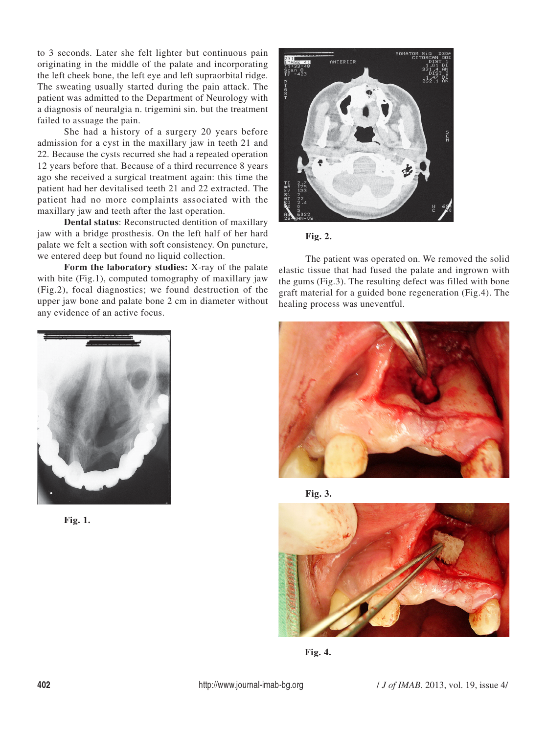to 3 seconds. Later she felt lighter but continuous pain originating in the middle of the palate and incorporating the left cheek bone, the left eye and left supraorbital ridge. The sweating usually started during the pain attack. The patient was admitted to the Department of Neurology with a diagnosis of neuralgia n. trigemini sin. but the treatment failed to assuage the pain.

She had a history of a surgery 20 years before admission for a cyst in the maxillary jaw in teeth 21 and 22. Because the cysts recurred she had a repeated operation 12 years before that. Because of a third recurrence 8 years ago she received a surgical treatment again: this time the patient had her devitalised teeth 21 and 22 extracted. The patient had no more complaints associated with the maxillary jaw and teeth after the last operation.

**Dental status**: Reconstructed dentition of maxillary jaw with a bridge prosthesis. On the left half of her hard palate we felt a section with soft consistency. On puncture, we entered deep but found no liquid collection.

**Form the laboratory studies:** X-ray of the palate with bite (Fig.1), computed tomography of maxillary jaw (Fig.2), focal diagnostics; we found destruction of the upper jaw bone and palate bone 2 cm in diameter without any evidence of an active focus.





The patient was operated on. We removed the solid elastic tissue that had fused the palate and ingrown with the gums (Fig.3). The resulting defect was filled with bone graft material for a guided bone regeneration (Fig.4). The healing process was uneventful.



**Fig. 1.**







**Fig. 4.**